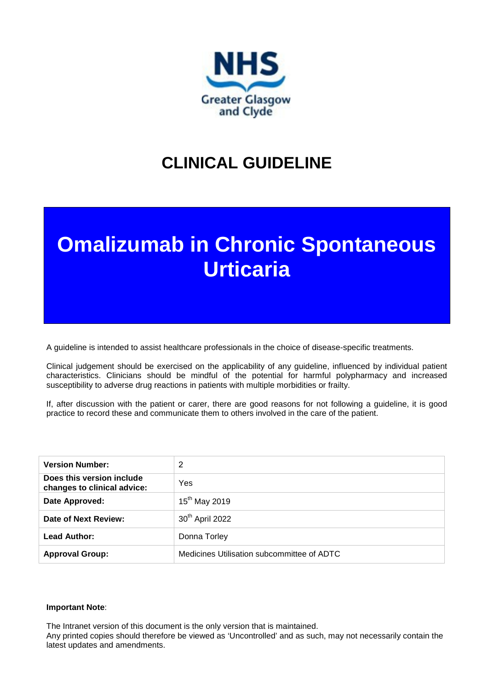

## **CLINICAL GUIDELINE**

# **Omalizumab in Chronic Spontaneous Urticaria**

A guideline is intended to assist healthcare professionals in the choice of disease-specific treatments.

Clinical judgement should be exercised on the applicability of any guideline, influenced by individual patient characteristics. Clinicians should be mindful of the potential for harmful polypharmacy and increased susceptibility to adverse drug reactions in patients with multiple morbidities or frailty.

If, after discussion with the patient or carer, there are good reasons for not following a guideline, it is good practice to record these and communicate them to others involved in the care of the patient.

| <b>Version Number:</b>                                   | 2                                          |
|----------------------------------------------------------|--------------------------------------------|
| Does this version include<br>changes to clinical advice: | Yes                                        |
| Date Approved:                                           | $15^{th}$ May 2019                         |
| Date of Next Review:                                     | 30 <sup>th</sup> April 2022                |
| Lead Author:                                             | Donna Torley                               |
| <b>Approval Group:</b>                                   | Medicines Utilisation subcommittee of ADTC |

#### **Important Note**:

The Intranet version of this document is the only version that is maintained.

Any printed copies should therefore be viewed as 'Uncontrolled' and as such, may not necessarily contain the latest updates and amendments.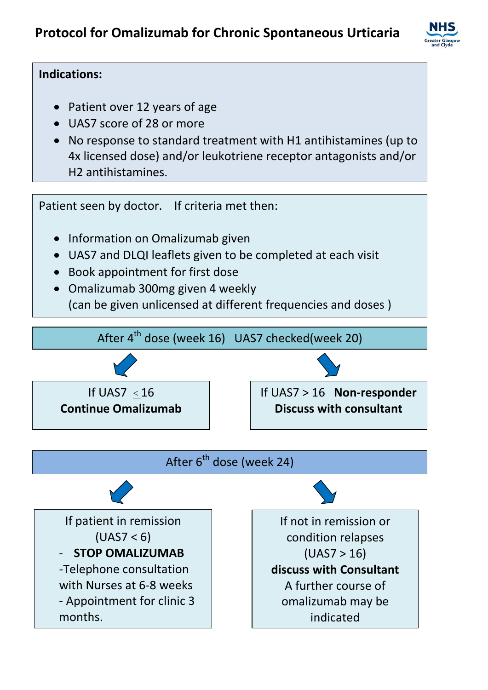

### **Indications:**

- Patient over 12 years of age
- UAS7 score of 28 or more
- No response to standard treatment with H1 antihistamines (up to 4x licensed dose) and/or leukotriene receptor antagonists and/or H2 antihistamines.

Patient seen by doctor. If criteria met then:

- Information on Omalizumab given
- UAS7 and DLQI leaflets given to be completed at each visit
- Book appointment for first dose
- Omalizumab 300mg given 4 weekly (can be given unlicensed at different frequencies and doses )









If not in remission or condition relapses  $(UAS7 > 16)$ **discuss with Consultant** A further course of omalizumab may be indicated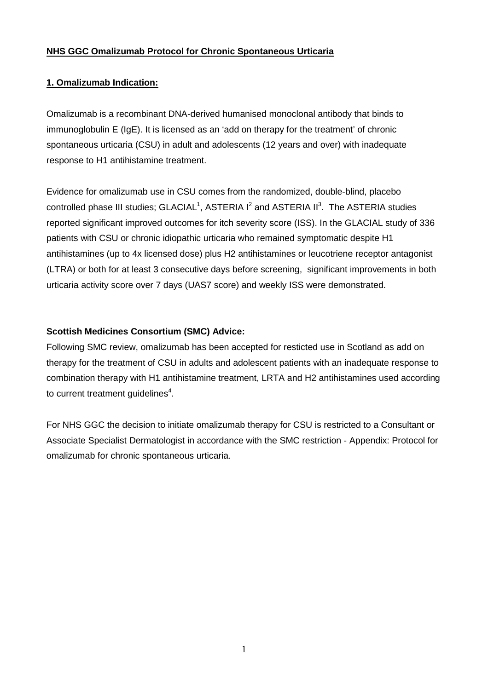#### **NHS GGC Omalizumab Protocol for Chronic Spontaneous Urticaria**

#### **1. Omalizumab Indication:**

Omalizumab is a recombinant DNA-derived humanised monoclonal antibody that binds to immunoglobulin E (IgE). It is licensed as an 'add on therapy for the treatment' of chronic spontaneous urticaria (CSU) in adult and adolescents (12 years and over) with inadequate response to H1 antihistamine treatment.

Evidence for omalizumab use in CSU comes from the randomized, double-blind, placebo controlled phase III studies;  $GLACIAL<sup>1</sup>$ , ASTERIA I $^2$  and ASTERIA II $^3$ . The ASTERIA studies reported significant improved outcomes for itch severity score (ISS). In the GLACIAL study of 336 patients with CSU or chronic idiopathic urticaria who remained symptomatic despite H1 antihistamines (up to 4x licensed dose) plus H2 antihistamines or leucotriene receptor antagonist (LTRA) or both for at least 3 consecutive days before screening, significant improvements in both urticaria activity score over 7 days (UAS7 score) and weekly ISS were demonstrated.

#### **Scottish Medicines Consortium (SMC) Advice:**

Following SMC review, omalizumab has been accepted for resticted use in Scotland as add on therapy for the treatment of CSU in adults and adolescent patients with an inadequate response to combination therapy with H1 antihistamine treatment, LRTA and H2 antihistamines used according to current treatment guidelines<sup>4</sup>.

For NHS GGC the decision to initiate omalizumab therapy for CSU is restricted to a Consultant or Associate Specialist Dermatologist in accordance with the SMC restriction - Appendix: Protocol for omalizumab for chronic spontaneous urticaria.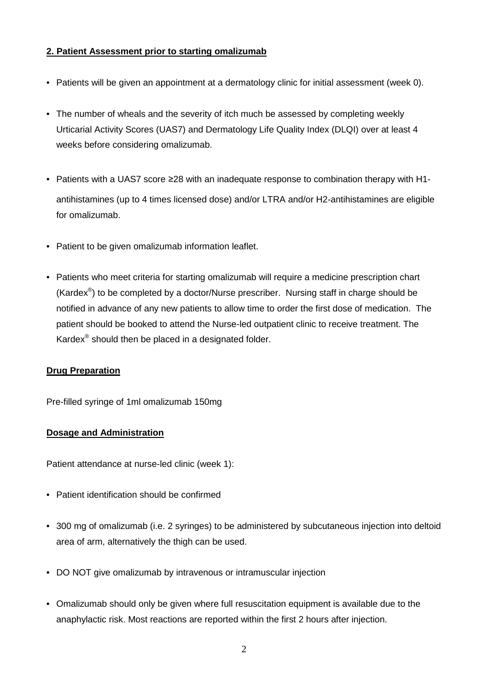#### **2. Patient Assessment prior to starting omalizumab**

- Patients will be given an appointment at a dermatology clinic for initial assessment (week 0).
- The number of wheals and the severity of itch much be assessed by completing weekly Urticarial Activity Scores (UAS7) and Dermatology Life Quality Index (DLQI) over at least 4 weeks before considering omalizumab.
- Patients with a UAS7 score ≥28 with an inadequate response to combination therapy with H1 antihistamines (up to 4 times licensed dose) and/or LTRA and/or H2-antihistamines are eligible for omalizumab.
- Patient to be given omalizumab information leaflet.
- Patients who meet criteria for starting omalizumab will require a medicine prescription chart (Kardex<sup>®</sup>) to be completed by a doctor/Nurse prescriber. Nursing staff in charge should be notified in advance of any new patients to allow time to order the first dose of medication. The patient should be booked to attend the Nurse-led outpatient clinic to receive treatment. The Kardex® should then be placed in a designated folder.

#### **Drug Preparation**

Pre-filled syringe of 1ml omalizumab 150mg

#### **Dosage and Administration**

Patient attendance at nurse-led clinic (week 1):

- Patient identification should be confirmed
- 300 mg of omalizumab (i.e. 2 syringes) to be administered by subcutaneous injection into deltoid area of arm, alternatively the thigh can be used.
- DO NOT give omalizumab by intravenous or intramuscular injection
- Omalizumab should only be given where full resuscitation equipment is available due to the anaphylactic risk. Most reactions are reported within the first 2 hours after injection.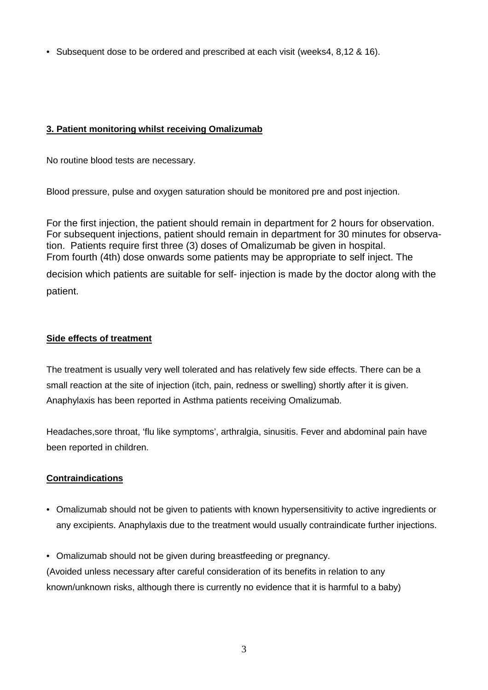• Subsequent dose to be ordered and prescribed at each visit (weeks4, 8,12 & 16).

#### **3. Patient monitoring whilst receiving Omalizumab**

No routine blood tests are necessary.

Blood pressure, pulse and oxygen saturation should be monitored pre and post injection.

For the first injection, the patient should remain in department for 2 hours for observation. For subsequent injections, patient should remain in department for 30 minutes for observation. Patients require first three (3) doses of Omalizumab be given in hospital. From fourth (4th) dose onwards some patients may be appropriate to self inject. The

decision which patients are suitable for self- injection is made by the doctor along with the patient.

#### **Side effects of treatment**

The treatment is usually very well tolerated and has relatively few side effects. There can be a small reaction at the site of injection (itch, pain, redness or swelling) shortly after it is given. Anaphylaxis has been reported in Asthma patients receiving Omalizumab.

Headaches,sore throat, 'flu like symptoms', arthralgia, sinusitis. Fever and abdominal pain have been reported in children.

#### **Contraindications**

- Omalizumab should not be given to patients with known hypersensitivity to active ingredients or any excipients. Anaphylaxis due to the treatment would usually contraindicate further injections.
- Omalizumab should not be given during breastfeeding or pregnancy.

(Avoided unless necessary after careful consideration of its benefits in relation to any known/unknown risks, although there is currently no evidence that it is harmful to a baby)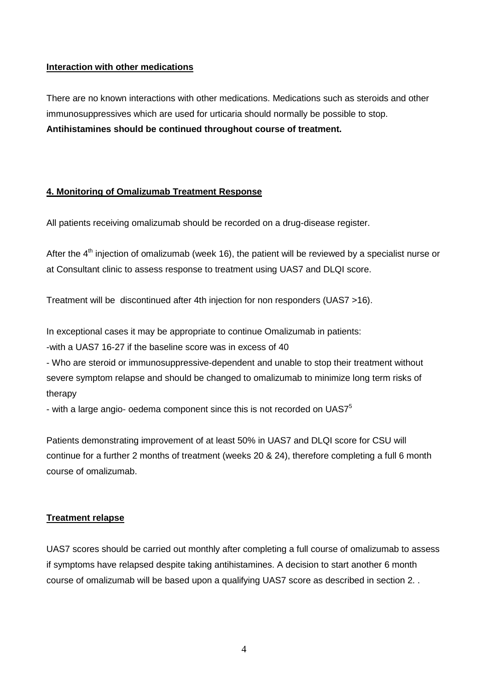#### **Interaction with other medications**

There are no known interactions with other medications. Medications such as steroids and other immunosuppressives which are used for urticaria should normally be possible to stop. **Antihistamines should be continued throughout course of treatment.**

#### **4. Monitoring of Omalizumab Treatment Response**

All patients receiving omalizumab should be recorded on a drug-disease register.

After the  $4<sup>th</sup>$  injection of omalizumab (week 16), the patient will be reviewed by a specialist nurse or at Consultant clinic to assess response to treatment using UAS7 and DLQI score.

Treatment will be discontinued after 4th injection for non responders (UAS7 >16).

In exceptional cases it may be appropriate to continue Omalizumab in patients:

-with a UAS7 16-27 if the baseline score was in excess of 40

- Who are steroid or immunosuppressive-dependent and unable to stop their treatment without severe symptom relapse and should be changed to omalizumab to minimize long term risks of therapy

- with a large angio- oedema component since this is not recorded on UAS7<sup>5</sup>

Patients demonstrating improvement of at least 50% in UAS7 and DLQI score for CSU will continue for a further 2 months of treatment (weeks 20 & 24), therefore completing a full 6 month course of omalizumab.

#### **Treatment relapse**

UAS7 scores should be carried out monthly after completing a full course of omalizumab to assess if symptoms have relapsed despite taking antihistamines. A decision to start another 6 month course of omalizumab will be based upon a qualifying UAS7 score as described in section 2. .

4